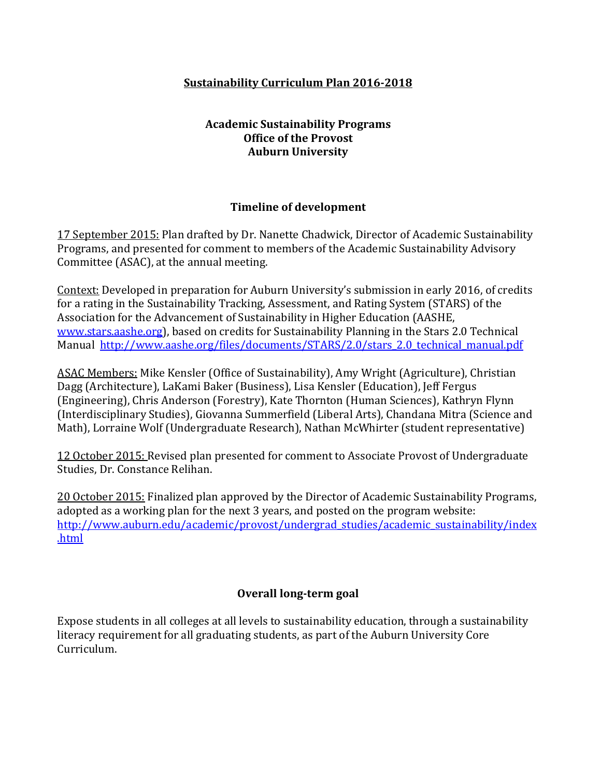## **Sustainability Curriculum Plan 2016-2018**

#### **Academic Sustainability Programs Office of the Provost Auburn University**

#### **Timeline of development**

17 September 2015: Plan drafted by Dr. Nanette Chadwick, Director of Academic Sustainability Programs, and presented for comment to members of the Academic Sustainability Advisory Committee (ASAC), at the annual meeting.

Context: Developed in preparation for Auburn University's submission in early 2016, of credits for a rating in the Sustainability Tracking, Assessment, and Rating System (STARS) of the Association for the Advancement of Sustainability in Higher Education (AASHE, [www.stars.aashe.org\)](http://www.stars.aashe.org/), based on credits for Sustainability Planning in the Stars 2.0 Technical Manual http://www.aashe.org/files/documents/STARS/2.0/stars 2.0 technical manual.pdf

ASAC Members: Mike Kensler (Office of Sustainability), Amy Wright (Agriculture), Christian Dagg (Architecture), LaKami Baker (Business), Lisa Kensler (Education), Jeff Fergus (Engineering), Chris Anderson (Forestry), Kate Thornton (Human Sciences), Kathryn Flynn (Interdisciplinary Studies), Giovanna Summerfield (Liberal Arts), Chandana Mitra (Science and Math), Lorraine Wolf (Undergraduate Research), Nathan McWhirter (student representative)

12 October 2015: Revised plan presented for comment to Associate Provost of Undergraduate Studies, Dr. Constance Relihan.

20 October 2015: Finalized plan approved by the Director of Academic Sustainability Programs, adopted as a working plan for the next 3 years, and posted on the program website: [http://www.auburn.edu/academic/provost/undergrad\\_studies/academic\\_sustainability/index](http://www.auburn.edu/academic/provost/undergrad_studies/academic_sustainability/index.html) [.html](http://www.auburn.edu/academic/provost/undergrad_studies/academic_sustainability/index.html)

# **Overall long-term goal**

Expose students in all colleges at all levels to sustainability education, through a sustainability literacy requirement for all graduating students, as part of the Auburn University Core Curriculum.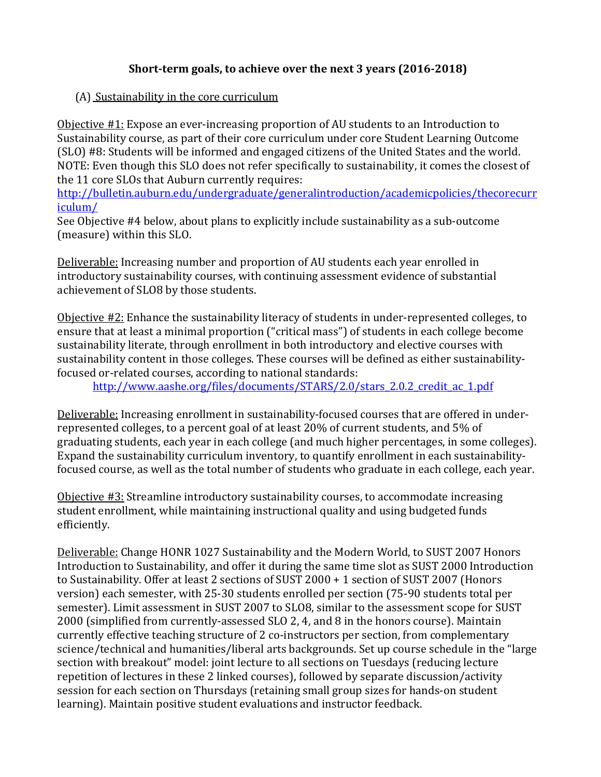# **Short-term goals, to achieve over the next 3 years (2016-2018)**

#### (A) Sustainability in the core curriculum

Objective #1: Expose an ever-increasing proportion of AU students to an Introduction to Sustainability course, as part of their core curriculum under core Student Learning Outcome (SLO) #8: Students will be informed and engaged citizens of the United States and the world. NOTE: Even though this SLO does not refer specifically to sustainability, it comes the closest of the 11 core SLOs that Auburn currently requires:

[http://bulletin.auburn.edu/undergraduate/generalintroduction/academicpolicies/thecorecurr](http://bulletin.auburn.edu/undergraduate/generalintroduction/academicpolicies/thecorecurriculum/) [iculum/](http://bulletin.auburn.edu/undergraduate/generalintroduction/academicpolicies/thecorecurriculum/)

See Objective #4 below, about plans to explicitly include sustainability as a sub-outcome (measure) within this SLO.

Deliverable: Increasing number and proportion of AU students each year enrolled in introductory sustainability courses, with continuing assessment evidence of substantial achievement of SLO8 by those students.

Objective #2: Enhance the sustainability literacy of students in under-represented colleges, to ensure that at least a minimal proportion ("critical mass") of students in each college become sustainability literate, through enrollment in both introductory and elective courses with sustainability content in those colleges. These courses will be defined as either sustainabilityfocused or-related courses, according to national standards:

[http://www.aashe.org/files/documents/STARS/2.0/stars\\_2.0.2\\_credit\\_ac\\_1.pdf](http://www.aashe.org/files/documents/STARS/2.0/stars_2.0.2_credit_ac_1.pdf)

Deliverable: Increasing enrollment in sustainability-focused courses that are offered in underrepresented colleges, to a percent goal of at least 20% of current students, and 5% of graduating students, each year in each college (and much higher percentages, in some colleges). Expand the sustainability curriculum inventory, to quantify enrollment in each sustainabilityfocused course, as well as the total number of students who graduate in each college, each year.

Objective #3: Streamline introductory sustainability courses, to accommodate increasing student enrollment, while maintaining instructional quality and using budgeted funds efficiently.

Deliverable: Change HONR 1027 Sustainability and the Modern World, to SUST 2007 Honors Introduction to Sustainability, and offer it during the same time slot as SUST 2000 Introduction to Sustainability. Offer at least 2 sections of SUST 2000 + 1 section of SUST 2007 (Honors version) each semester, with 25-30 students enrolled per section (75-90 students total per semester). Limit assessment in SUST 2007 to SLO8, similar to the assessment scope for SUST 2000 (simplified from currently-assessed SLO 2, 4, and 8 in the honors course). Maintain currently effective teaching structure of 2 co-instructors per section, from complementary science/technical and humanities/liberal arts backgrounds. Set up course schedule in the "large section with breakout" model: joint lecture to all sections on Tuesdays (reducing lecture repetition of lectures in these 2 linked courses), followed by separate discussion/activity session for each section on Thursdays (retaining small group sizes for hands-on student learning). Maintain positive student evaluations and instructor feedback.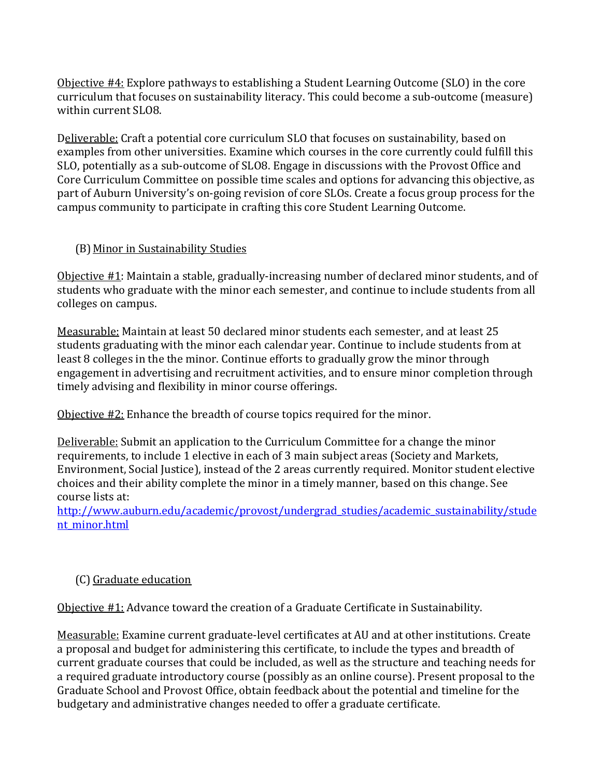Objective #4: Explore pathways to establishing a Student Learning Outcome (SLO) in the core curriculum that focuses on sustainability literacy. This could become a sub-outcome (measure) within current SLO8.

Deliverable: Craft a potential core curriculum SLO that focuses on sustainability, based on examples from other universities. Examine which courses in the core currently could fulfill this SLO, potentially as a sub-outcome of SLO8. Engage in discussions with the Provost Office and Core Curriculum Committee on possible time scales and options for advancing this objective, as part of Auburn University's on-going revision of core SLOs. Create a focus group process for the campus community to participate in crafting this core Student Learning Outcome.

#### (B)Minor in Sustainability Studies

Objective #1: Maintain a stable, gradually-increasing number of declared minor students, and of students who graduate with the minor each semester, and continue to include students from all colleges on campus.

Measurable: Maintain at least 50 declared minor students each semester, and at least 25 students graduating with the minor each calendar year. Continue to include students from at least 8 colleges in the the minor. Continue efforts to gradually grow the minor through engagement in advertising and recruitment activities, and to ensure minor completion through timely advising and flexibility in minor course offerings.

Objective #2: Enhance the breadth of course topics required for the minor.

Deliverable: Submit an application to the Curriculum Committee for a change the minor requirements, to include 1 elective in each of 3 main subject areas (Society and Markets, Environment, Social Justice), instead of the 2 areas currently required. Monitor student elective choices and their ability complete the minor in a timely manner, based on this change. See course lists at:

[http://www.auburn.edu/academic/provost/undergrad\\_studies/academic\\_sustainability/stude](http://www.auburn.edu/academic/provost/undergrad_studies/academic_sustainability/student_minor.html) nt minor.html

# (C) Graduate education

Objective #1: Advance toward the creation of a Graduate Certificate in Sustainability.

Measurable: Examine current graduate-level certificates at AU and at other institutions. Create a proposal and budget for administering this certificate, to include the types and breadth of current graduate courses that could be included, as well as the structure and teaching needs for a required graduate introductory course (possibly as an online course). Present proposal to the Graduate School and Provost Office, obtain feedback about the potential and timeline for the budgetary and administrative changes needed to offer a graduate certificate.